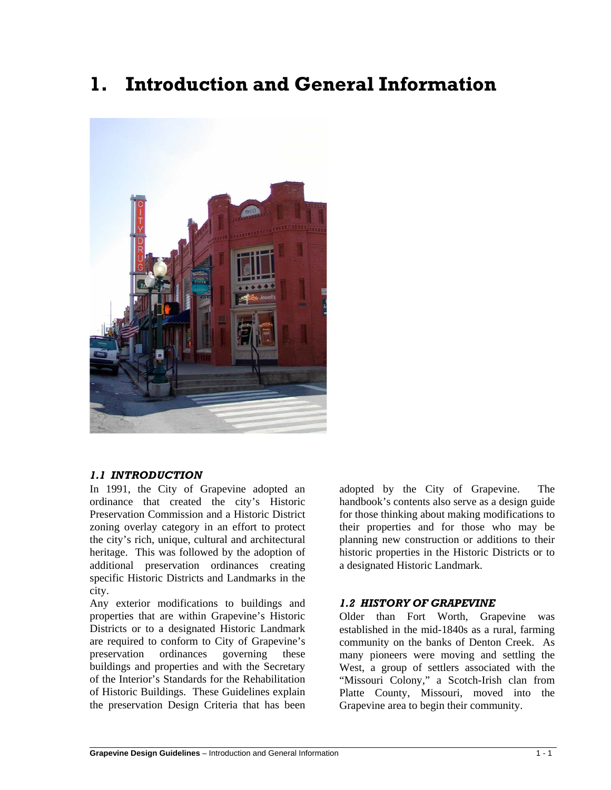# **1. Introduction and General Information**



#### *1.1 INTRODUCTION*

l

In 1991, the City of Grapevine adopted an ordinance that created the city's Historic Preservation Commission and a Historic District zoning overlay category in an effort to protect the city's rich, unique, cultural and architectural heritage. This was followed by the adoption of additional preservation ordinances creating specific Historic Districts and Landmarks in the city.

Any exterior modifications to buildings and properties that are within Grapevine's Historic Districts or to a designated Historic Landmark are required to conform to City of Grapevine's preservation ordinances governing these buildings and properties and with the Secretary of the Interior's Standards for the Rehabilitation of Historic Buildings. These Guidelines explain the preservation Design Criteria that has been adopted by the City of Grapevine. The handbook's contents also serve as a design guide for those thinking about making modifications to their properties and for those who may be planning new construction or additions to their historic properties in the Historic Districts or to a designated Historic Landmark.

## *1.2 HISTORY OF GRAPEVINE*

Older than Fort Worth, Grapevine was established in the mid-1840s as a rural, farming community on the banks of Denton Creek. As many pioneers were moving and settling the West, a group of settlers associated with the "Missouri Colony," a Scotch-Irish clan from Platte County, Missouri, moved into the Grapevine area to begin their community.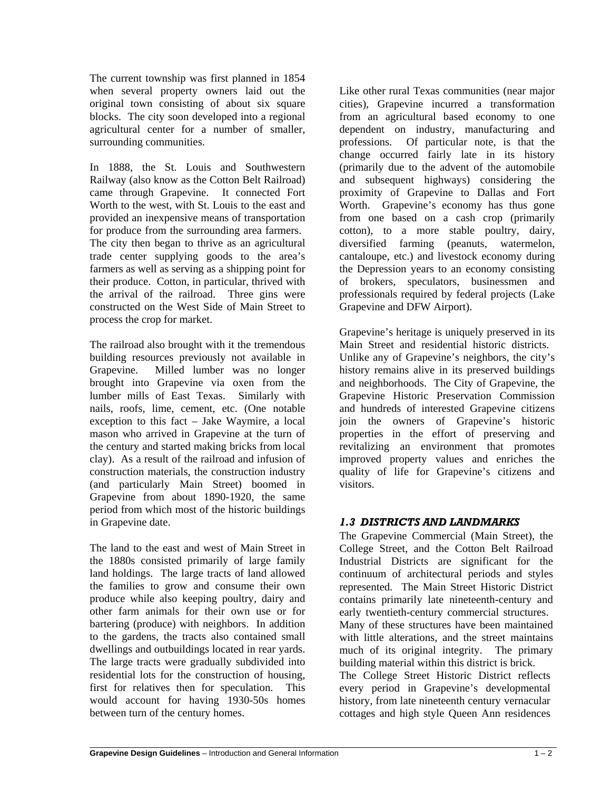The current township was first planned in 1854 when several property owners laid out the original town consisting of about six square blocks. The city soon developed into a regional agricultural center for a number of smaller, surrounding communities.

In 1888, the St. Louis and Southwestern Railway (also know as the Cotton Belt Railroad) came through Grapevine. It connected Fort Worth to the west, with St. Louis to the east and provided an inexpensive means of transportation for produce from the surrounding area farmers. The city then began to thrive as an agricultural trade center supplying goods to the area's farmers as well as serving as a shipping point for their produce. Cotton, in particular, thrived with the arrival of the railroad. Three gins were constructed on the West Side of Main Street to process the crop for market.

The railroad also brought with it the tremendous building resources previously not available in Grapevine. Milled lumber was no longer brought into Grapevine via oxen from the lumber mills of East Texas. Similarly with nails, roofs, lime, cement, etc. (One notable exception to this fact – Jake Waymire, a local mason who arrived in Grapevine at the turn of the century and started making bricks from local clay). As a result of the railroad and infusion of construction materials, the construction industry (and particularly Main Street) boomed in Grapevine from about 1890-1920, the same period from which most of the historic buildings in Grapevine date.

The land to the east and west of Main Street in the 1880s consisted primarily of large family land holdings. The large tracts of land allowed the families to grow and consume their own produce while also keeping poultry, dairy and other farm animals for their own use or for bartering (produce) with neighbors. In addition to the gardens, the tracts also contained small dwellings and outbuildings located in rear yards. The large tracts were gradually subdivided into residential lots for the construction of housing, first for relatives then for speculation. This would account for having 1930-50s homes between turn of the century homes.

Like other rural Texas communities (near major cities), Grapevine incurred a transformation from an agricultural based economy to one dependent on industry, manufacturing and professions. Of particular note, is that the change occurred fairly late in its history (primarily due to the advent of the automobile and subsequent highways) considering the proximity of Grapevine to Dallas and Fort Worth. Grapevine's economy has thus gone from one based on a cash crop (primarily cotton), to a more stable poultry, dairy, diversified farming (peanuts, watermelon, cantaloupe, etc.) and livestock economy during the Depression years to an economy consisting of brokers, speculators, businessmen and professionals required by federal projects (Lake Grapevine and DFW Airport).

Grapevine's heritage is uniquely preserved in its Main Street and residential historic districts. Unlike any of Grapevine's neighbors, the city's history remains alive in its preserved buildings and neighborhoods. The City of Grapevine, the Grapevine Historic Preservation Commission and hundreds of interested Grapevine citizens join the owners of Grapevine's historic properties in the effort of preserving and revitalizing an environment that promotes improved property values and enriches the quality of life for Grapevine's citizens and visitors.

# *1.3 DISTRICTS AND LANDMARKS*

The Grapevine Commercial (Main Street), the College Street, and the Cotton Belt Railroad Industrial Districts are significant for the continuum of architectural periods and styles represented. The Main Street Historic District contains primarily late nineteenth-century and early twentieth-century commercial structures. Many of these structures have been maintained with little alterations, and the street maintains much of its original integrity. The primary building material within this district is brick. The College Street Historic District reflects

every period in Grapevine's developmental history, from late nineteenth century vernacular cottages and high style Queen Ann residences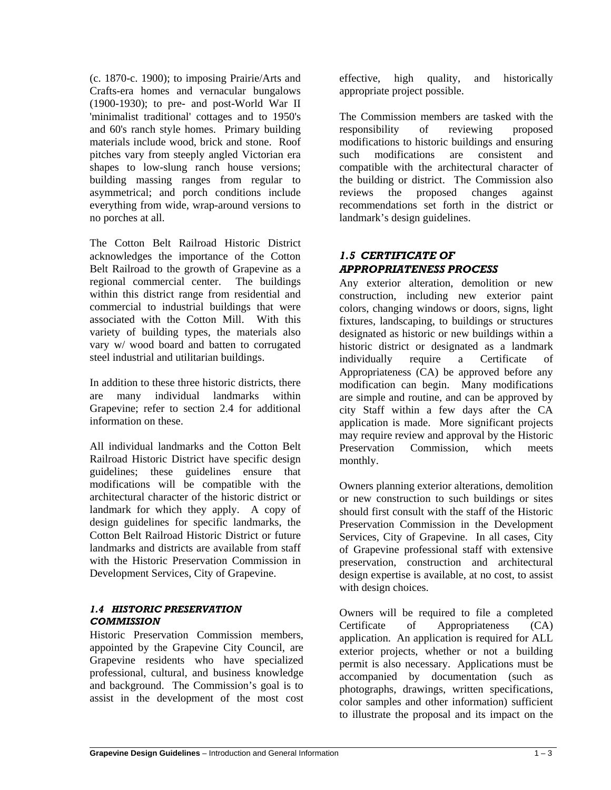(c. 1870-c. 1900); to imposing Prairie/Arts and Crafts-era homes and vernacular bungalows (1900-1930); to pre- and post-World War II 'minimalist traditional' cottages and to 1950's and 60's ranch style homes. Primary building materials include wood, brick and stone. Roof pitches vary from steeply angled Victorian era shapes to low-slung ranch house versions; building massing ranges from regular to asymmetrical; and porch conditions include everything from wide, wrap-around versions to no porches at all.

The Cotton Belt Railroad Historic District acknowledges the importance of the Cotton Belt Railroad to the growth of Grapevine as a regional commercial center. The buildings within this district range from residential and commercial to industrial buildings that were associated with the Cotton Mill. With this variety of building types, the materials also vary w/ wood board and batten to corrugated steel industrial and utilitarian buildings.

In addition to these three historic districts, there are many individual landmarks within Grapevine; refer to section 2.4 for additional information on these.

All individual landmarks and the Cotton Belt Railroad Historic District have specific design guidelines; these guidelines ensure that modifications will be compatible with the architectural character of the historic district or landmark for which they apply. A copy of design guidelines for specific landmarks, the Cotton Belt Railroad Historic District or future landmarks and districts are available from staff with the Historic Preservation Commission in Development Services, City of Grapevine.

#### *1.4 HISTORIC PRESERVATION COMMISSION*

l

Historic Preservation Commission members, appointed by the Grapevine City Council, are Grapevine residents who have specialized professional, cultural, and business knowledge and background. The Commission's goal is to assist in the development of the most cost

effective, high quality, and historically appropriate project possible.

The Commission members are tasked with the responsibility of reviewing proposed modifications to historic buildings and ensuring such modifications are consistent and compatible with the architectural character of the building or district. The Commission also reviews the proposed changes against recommendations set forth in the district or landmark's design guidelines.

# *1.5 CERTIFICATE OF APPROPRIATENESS PROCESS*

Any exterior alteration, demolition or new construction, including new exterior paint colors, changing windows or doors, signs, light fixtures, landscaping, to buildings or structures designated as historic or new buildings within a historic district or designated as a landmark individually require a Certificate of Appropriateness (CA) be approved before any modification can begin. Many modifications are simple and routine, and can be approved by city Staff within a few days after the CA application is made. More significant projects may require review and approval by the Historic Preservation Commission, which meets monthly.

Owners planning exterior alterations, demolition or new construction to such buildings or sites should first consult with the staff of the Historic Preservation Commission in the Development Services, City of Grapevine. In all cases, City of Grapevine professional staff with extensive preservation, construction and architectural design expertise is available, at no cost, to assist with design choices.

Owners will be required to file a completed Certificate of Appropriateness (CA) application. An application is required for ALL exterior projects, whether or not a building permit is also necessary. Applications must be accompanied by documentation (such as photographs, drawings, written specifications, color samples and other information) sufficient to illustrate the proposal and its impact on the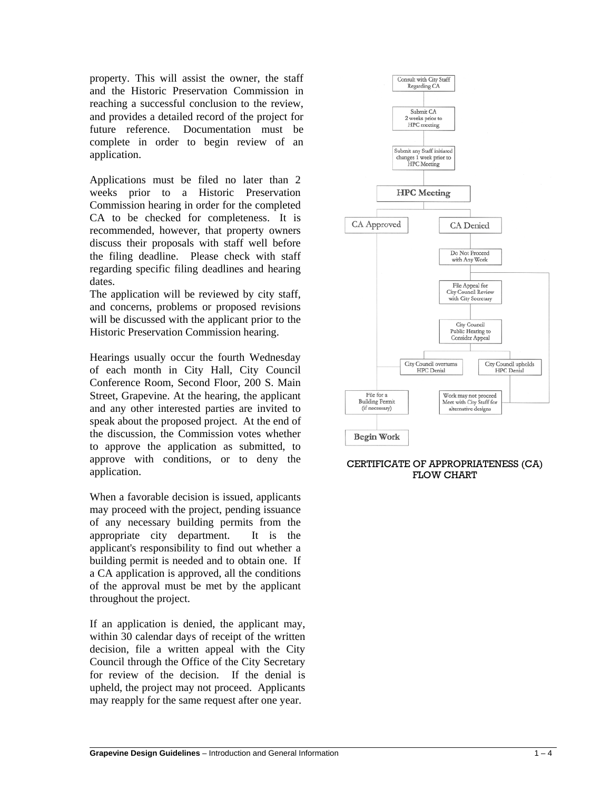property. This will assist the owner, the staff and the Historic Preservation Commission in reaching a successful conclusion to the review, and provides a detailed record of the project for future reference. Documentation must be complete in order to begin review of an application.

Applications must be filed no later than 2 weeks prior to a Historic Preservation Commission hearing in order for the completed CA to be checked for completeness. It is recommended, however, that property owners discuss their proposals with staff well before the filing deadline. Please check with staff regarding specific filing deadlines and hearing dates.

The application will be reviewed by city staff, and concerns, problems or proposed revisions will be discussed with the applicant prior to the Historic Preservation Commission hearing.

Hearings usually occur the fourth Wednesday of each month in City Hall, City Council Conference Room, Second Floor, 200 S. Main Street, Grapevine. At the hearing, the applicant and any other interested parties are invited to speak about the proposed project. At the end of the discussion, the Commission votes whether to approve the application as submitted, to approve with conditions, or to deny the application.

When a favorable decision is issued, applicants may proceed with the project, pending issuance of any necessary building permits from the appropriate city department. It is the applicant's responsibility to find out whether a building permit is needed and to obtain one. If a CA application is approved, all the conditions of the approval must be met by the applicant throughout the project.

If an application is denied, the applicant may, within 30 calendar days of receipt of the written decision, file a written appeal with the City Council through the Office of the City Secretary for review of the decision. If the denial is upheld, the project may not proceed. Applicants may reapply for the same request after one year.

l



#### CERTIFICATE OF APPROPRIATENESS (CA) FLOW CHART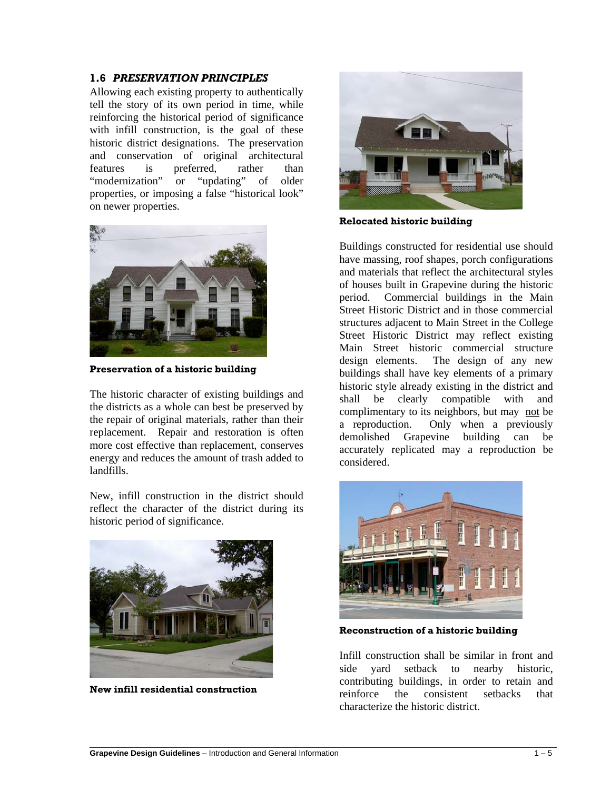#### **1.6** *PRESERVATION PRINCIPLES*

Allowing each existing property to authentically tell the story of its own period in time, while reinforcing the historical period of significance with infill construction, is the goal of these historic district designations. The preservation and conservation of original architectural features is preferred, rather than "modernization" or "updating" of older properties, or imposing a false "historical look" on newer properties.



**Preservation of a historic building**

The historic character of existing buildings and the districts as a whole can best be preserved by the repair of original materials, rather than their replacement. Repair and restoration is often more cost effective than replacement, conserves energy and reduces the amount of trash added to landfills.

New, infill construction in the district should reflect the character of the district during its historic period of significance.



**New infill residential construction**

l



**Relocated historic building**

Buildings constructed for residential use should have massing, roof shapes, porch configurations and materials that reflect the architectural styles of houses built in Grapevine during the historic period. Commercial buildings in the Main Street Historic District and in those commercial structures adjacent to Main Street in the College Street Historic District may reflect existing Main Street historic commercial structure design elements. The design of any new buildings shall have key elements of a primary historic style already existing in the district and shall be clearly compatible with and complimentary to its neighbors, but may not be a reproduction. Only when a previously demolished Grapevine building can be accurately replicated may a reproduction be considered.



**Reconstruction of a historic building**

Infill construction shall be similar in front and side yard setback to nearby historic, contributing buildings, in order to retain and reinforce the consistent setbacks that characterize the historic district.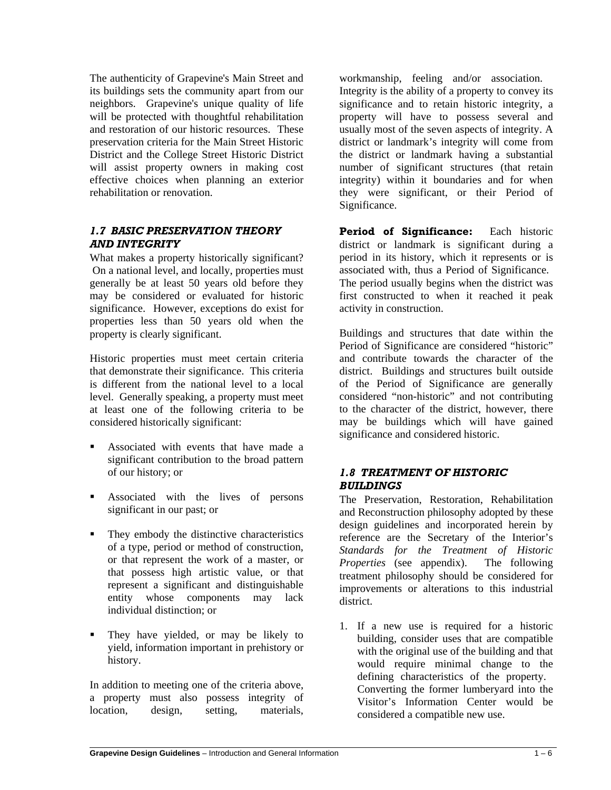The authenticity of Grapevine's Main Street and its buildings sets the community apart from our neighbors. Grapevine's unique quality of life will be protected with thoughtful rehabilitation and restoration of our historic resources. These preservation criteria for the Main Street Historic District and the College Street Historic District will assist property owners in making cost effective choices when planning an exterior rehabilitation or renovation.

# *1.7 BASIC PRESERVATION THEORY AND INTEGRITY*

What makes a property historically significant? On a national level, and locally, properties must generally be at least 50 years old before they may be considered or evaluated for historic significance. However, exceptions do exist for properties less than 50 years old when the property is clearly significant.

Historic properties must meet certain criteria that demonstrate their significance. This criteria is different from the national level to a local level. Generally speaking, a property must meet at least one of the following criteria to be considered historically significant:

- Associated with events that have made a significant contribution to the broad pattern of our history; or
- Associated with the lives of persons significant in our past; or
- They embody the distinctive characteristics of a type, period or method of construction, or that represent the work of a master, or that possess high artistic value, or that represent a significant and distinguishable entity whose components may lack individual distinction; or
- They have yielded, or may be likely to yield, information important in prehistory or history.

In addition to meeting one of the criteria above, a property must also possess integrity of location, design, setting, materials,

l

workmanship, feeling and/or association. Integrity is the ability of a property to convey its significance and to retain historic integrity, a property will have to possess several and usually most of the seven aspects of integrity. A district or landmark's integrity will come from the district or landmark having a substantial number of significant structures (that retain integrity) within it boundaries and for when they were significant, or their Period of Significance.

**Period of Significance:** Each historic district or landmark is significant during a period in its history, which it represents or is associated with, thus a Period of Significance. The period usually begins when the district was first constructed to when it reached it peak activity in construction.

Buildings and structures that date within the Period of Significance are considered "historic" and contribute towards the character of the district. Buildings and structures built outside of the Period of Significance are generally considered "non-historic" and not contributing to the character of the district, however, there may be buildings which will have gained significance and considered historic.

# *1.8 TREATMENT OF HISTORIC BUILDINGS*

The Preservation, Restoration, Rehabilitation and Reconstruction philosophy adopted by these design guidelines and incorporated herein by reference are the Secretary of the Interior's *Standards for the Treatment of Historic Properties* (see appendix). The following treatment philosophy should be considered for improvements or alterations to this industrial district.

1. If a new use is required for a historic building, consider uses that are compatible with the original use of the building and that would require minimal change to the defining characteristics of the property. Converting the former lumberyard into the Visitor's Information Center would be considered a compatible new use.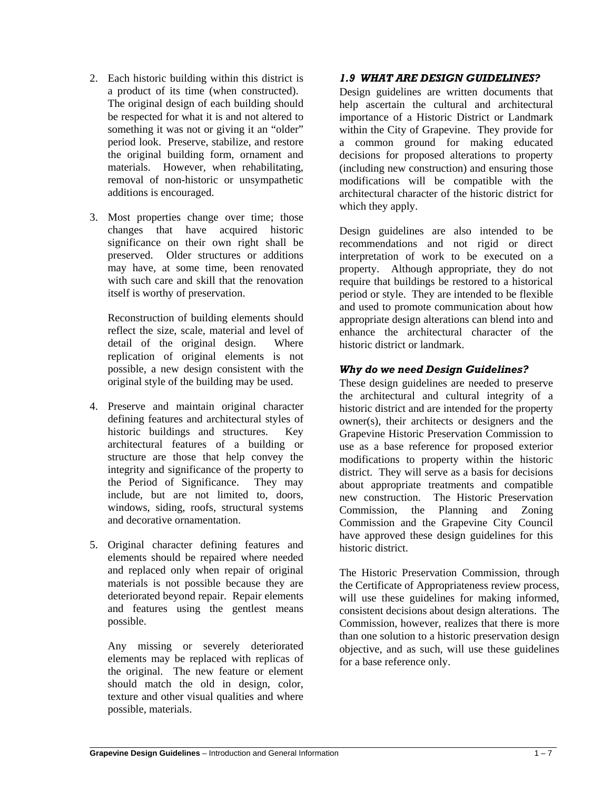- 2. Each historic building within this district is a product of its time (when constructed). The original design of each building should be respected for what it is and not altered to something it was not or giving it an "older" period look. Preserve, stabilize, and restore the original building form, ornament and materials. However, when rehabilitating, removal of non-historic or unsympathetic additions is encouraged.
- 3. Most properties change over time; those changes that have acquired historic significance on their own right shall be preserved. Older structures or additions may have, at some time, been renovated with such care and skill that the renovation itself is worthy of preservation.

Reconstruction of building elements should reflect the size, scale, material and level of detail of the original design. Where replication of original elements is not possible, a new design consistent with the original style of the building may be used.

- 4. Preserve and maintain original character defining features and architectural styles of historic buildings and structures. Key architectural features of a building or structure are those that help convey the integrity and significance of the property to the Period of Significance. They may include, but are not limited to, doors, windows, siding, roofs, structural systems and decorative ornamentation.
- 5. Original character defining features and elements should be repaired where needed and replaced only when repair of original materials is not possible because they are deteriorated beyond repair. Repair elements and features using the gentlest means possible.

Any missing or severely deteriorated elements may be replaced with replicas of the original. The new feature or element should match the old in design, color, texture and other visual qualities and where possible, materials.

# *1.9 WHAT ARE DESIGN GUIDELINES?*

Design guidelines are written documents that help ascertain the cultural and architectural importance of a Historic District or Landmark within the City of Grapevine. They provide for a common ground for making educated decisions for proposed alterations to property (including new construction) and ensuring those modifications will be compatible with the architectural character of the historic district for which they apply.

Design guidelines are also intended to be recommendations and not rigid or direct interpretation of work to be executed on a property. Although appropriate, they do not require that buildings be restored to a historical period or style. They are intended to be flexible and used to promote communication about how appropriate design alterations can blend into and enhance the architectural character of the historic district or landmark.

## *Why do we need Design Guidelines?*

These design guidelines are needed to preserve the architectural and cultural integrity of a historic district and are intended for the property owner(s), their architects or designers and the Grapevine Historic Preservation Commission to use as a base reference for proposed exterior modifications to property within the historic district. They will serve as a basis for decisions about appropriate treatments and compatible new construction. The Historic Preservation Commission, the Planning and Zoning Commission and the Grapevine City Council have approved these design guidelines for this historic district.

The Historic Preservation Commission, through the Certificate of Appropriateness review process, will use these guidelines for making informed, consistent decisions about design alterations. The Commission, however, realizes that there is more than one solution to a historic preservation design objective, and as such, will use these guidelines for a base reference only.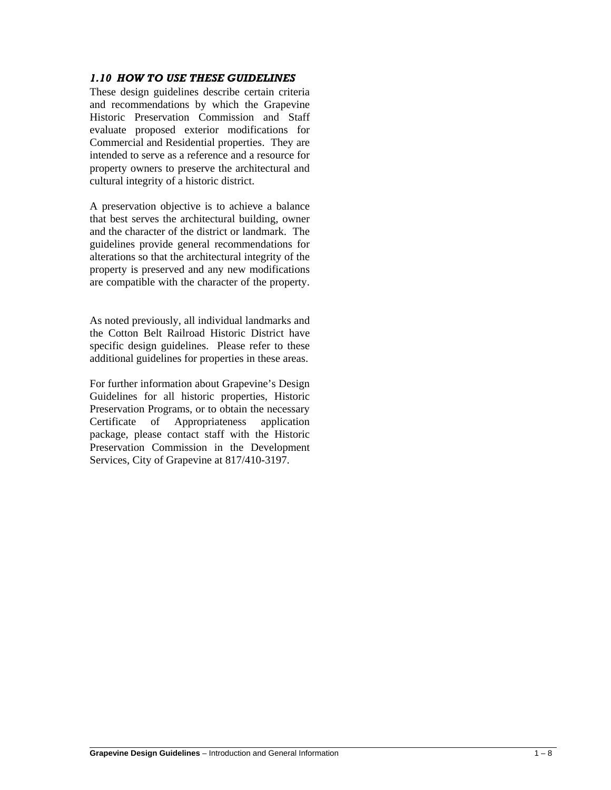#### *1.10 HOW TO USE THESE GUIDELINES*

These design guidelines describe certain criteria and recommendations by which the Grapevine Historic Preservation Commission and Staff evaluate proposed exterior modifications for Commercial and Residential properties. They are intended to serve as a reference and a resource for property owners to preserve the architectural and cultural integrity of a historic district.

A preservation objective is to achieve a balance that best serves the architectural building, owner and the character of the district or landmark. The guidelines provide general recommendations for alterations so that the architectural integrity of the property is preserved and any new modifications are compatible with the character of the property.

As noted previously, all individual landmarks and the Cotton Belt Railroad Historic District have specific design guidelines. Please refer to these additional guidelines for properties in these areas.

For further information about Grapevine's Design Guidelines for all historic properties, Historic Preservation Programs, or to obtain the necessary Certificate of Appropriateness application package, please contact staff with the Historic Preservation Commission in the Development Services, City of Grapevine at 817/410-3197.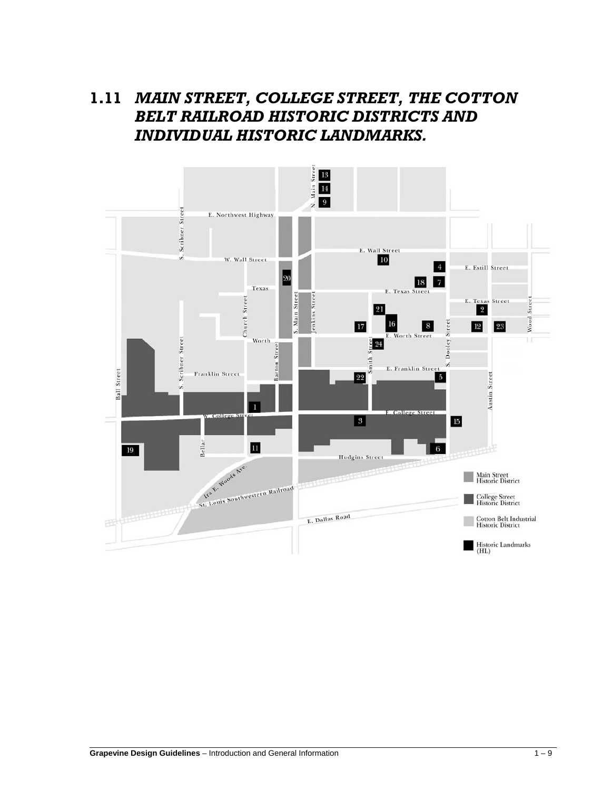# **1.11** *MAIN STREET, COLLEGE STREET, THE COTTON BELT RAILROAD HISTORIC DISTRICTS AND INDIVIDUAL HISTORIC LANDMARKS.*

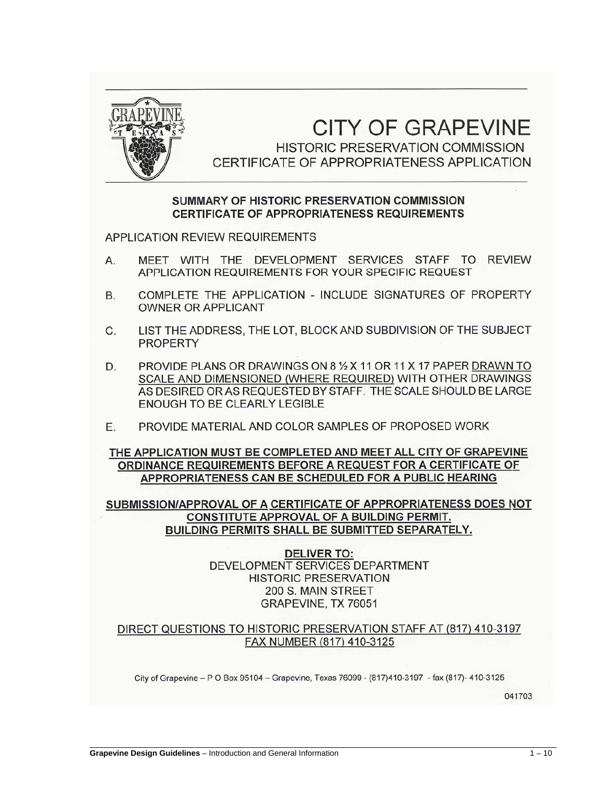

# **CITY OF GRAPEVINE**

HISTORIC PRESERVATION COMMISSION CERTIFICATE OF APPROPRIATENESS APPLICATION

# SUMMARY OF HISTORIC PRESERVATION COMMISSION **CERTIFICATE OF APPROPRIATENESS REQUIREMENTS**

**APPLICATION REVIEW REQUIREMENTS** 

- MEET WITH THE DEVELOPMENT SERVICES STAFF TO REVIEW А. APPLICATION REQUIREMENTS FOR YOUR SPECIFIC REQUEST
- COMPLETE THE APPLICATION INCLUDE SIGNATURES OF PROPERTY **B. OWNER OR APPLICANT**
- LIST THE ADDRESS, THE LOT, BLOCK AND SUBDIVISION OF THE SUBJECT  $C_{1}$ **PROPERTY**
- D. PROVIDE PLANS OR DRAWINGS ON 8 1/2 X 11 OR 11 X 17 PAPER DRAWN TO SCALE AND DIMENSIONED (WHERE REQUIRED) WITH OTHER DRAWINGS AS DESIRED OR AS REQUESTED BY STAFF. THE SCALE SHOULD BE LARGE **ENOUGH TO BE CLEARLY LEGIBLE**
- Е. PROVIDE MATERIAL AND COLOR SAMPLES OF PROPOSED WORK

#### THE APPLICATION MUST BE COMPLETED AND MEET ALL CITY OF GRAPEVINE ORDINANCE REQUIREMENTS BEFORE A REQUEST FOR A CERTIFICATE OF APPROPRIATENESS CAN BE SCHEDULED FOR A PUBLIC HEARING

SUBMISSION/APPROVAL OF A CERTIFICATE OF APPROPRIATENESS DOES NOT **CONSTITUTE APPROVAL OF A BUILDING PERMIT. BUILDING PERMITS SHALL BE SUBMITTED SEPARATELY.** 

> **DELIVER TO:** DEVELOPMENT SERVICES DEPARTMENT **HISTORIC PRESERVATION** 200 S. MAIN STREET GRAPEVINE, TX 76051

#### DIRECT QUESTIONS TO HISTORIC PRESERVATION STAFF AT (817) 410-3197 FAX NUMBER (817) 410-3125

City of Grapevine - P O Box 95104 - Grapevine, Texas 76099 - (817)410-3197 - fax (817)- 410-3125

041703